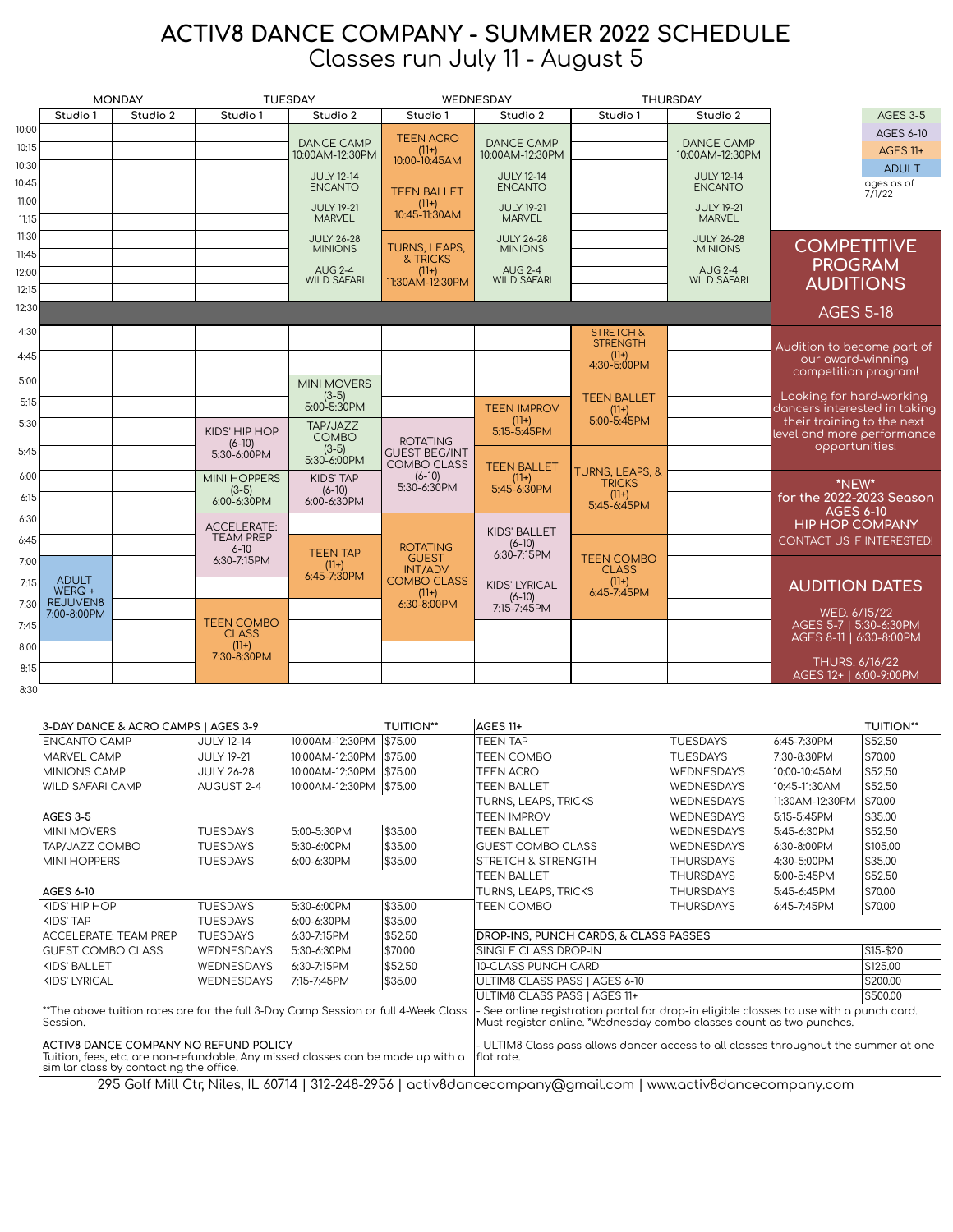## ACTIV8 DANCE COMPANY - SUMMER 2022 SCHEDULE Classes run July 11 - August 5

|                | <b>MONDAY</b>                  |          | <b>TUESDAY</b>                    |                              | WEDNESDAY                               |                                    | <b>THURSDAY</b>               |                                    |                                                          |
|----------------|--------------------------------|----------|-----------------------------------|------------------------------|-----------------------------------------|------------------------------------|-------------------------------|------------------------------------|----------------------------------------------------------|
|                | Studio 1                       | Studio 2 | Studio 1                          | Studio 2                     | Studio 1                                | Studio 2                           | Studio 1                      | Studio 2                           | <b>AGES 3-5</b>                                          |
| 10:00          |                                |          |                                   | <b>DANCE CAMP</b>            | <b>TEEN ACRO</b>                        | <b>DANCE CAMP</b>                  |                               | <b>DANCE CAMP</b>                  | AGES 6-10                                                |
| 10:15          |                                |          |                                   | 10:00AM-12:30PM              | $(11+)$<br>10:00-10:45AM                | 10:00AM-12:30PM                    |                               | 10:00AM-12:30PM                    | <b>AGES 11+</b>                                          |
| 10:30          |                                |          |                                   | <b>JULY 12-14</b>            |                                         | <b>JULY 12-14</b>                  |                               | <b>JULY 12-14</b>                  | <b>ADULT</b>                                             |
| 10:45          |                                |          |                                   | <b>ENCANTO</b>               | <b>TEEN BALLET</b>                      | <b>ENCANTO</b>                     |                               | <b>ENCANTO</b>                     | ages as of<br>7/1/22                                     |
| 11:00<br>11:15 |                                |          |                                   | <b>JULY 19-21</b><br>MARVEL  | $(11+)$<br>10:45-11:30AM                | <b>JULY 19-21</b><br><b>MARVEL</b> |                               | <b>JULY 19-21</b><br><b>MARVEL</b> |                                                          |
| 11:30          |                                |          |                                   | <b>JULY 26-28</b>            |                                         | <b>JULY 26-28</b>                  |                               | <b>JULY 26-28</b>                  |                                                          |
| 11:45          |                                |          |                                   | <b>MINIONS</b>               | TURNS, LEAPS,                           | <b>MINIONS</b>                     |                               | <b>MINIONS</b>                     | <b>COMPETITIVE</b>                                       |
| 12:00          |                                |          |                                   | <b>AUG 2-4</b>               | & TRICKS<br>$(11+)$                     | <b>AUG 2-4</b>                     |                               | <b>AUG 2-4</b>                     | <b>PROGRAM</b>                                           |
| 12:15          |                                |          |                                   | <b>WILD SAFARI</b>           | 11:30AM-12:30PM                         | <b>WILD SAFARI</b>                 |                               | <b>WILD SAFARI</b>                 | <b>AUDITIONS</b>                                         |
| 12:30          |                                |          |                                   |                              |                                         |                                    |                               |                                    | <b>AGES 5-18</b>                                         |
| 4:30           |                                |          |                                   |                              |                                         |                                    | <b>STRETCH &amp;</b>          |                                    |                                                          |
| 4:45           |                                |          |                                   |                              |                                         |                                    | <b>STRENGTH</b><br>$(11+)$    |                                    | Audition to become part of<br>our award-winning          |
|                |                                |          |                                   |                              |                                         |                                    | 4:30-5:00PM                   |                                    | competition program!                                     |
| 5:00           |                                |          |                                   | <b>MINI MOVERS</b>           |                                         |                                    |                               |                                    | Looking for hard-working                                 |
| 5:15           |                                |          |                                   | $(3-5)$<br>5:00-5:30PM       |                                         | <b>TEEN IMPROV</b>                 | <b>TEEN BALLET</b><br>$(11+)$ |                                    | dancers interested in taking                             |
| 5:30           |                                |          | KIDS' HIP HOP                     | TAP/JAZZ                     |                                         | $(11+)$<br>$5:15 - 5:45$ PM        | 5:00-5:45PM                   |                                    | their training to the next<br>level and more performance |
| 5:45           |                                |          | $(6-10)$<br>$5:30 - 6:00$ PM      | <b>COMBO</b><br>$(3-5)$      | <b>ROTATING</b><br><b>GUEST BEG/INT</b> |                                    |                               |                                    | opportunities!                                           |
|                |                                |          |                                   | 5:30-6:00PM                  | <b>COMBO CLASS</b>                      | <b>TEEN BALLET</b>                 | <b>TURNS, LEAPS, &amp;</b>    |                                    |                                                          |
| 6:00           |                                |          | <b>MINI HOPPERS</b><br>$(3-5)$    | <b>KIDS' TAP</b><br>$(6-10)$ | $(6-10)$<br>5:30-6:30PM                 | $(11+)$<br>5:45-6:30PM             | <b>TRICKS</b>                 |                                    | *NEW*                                                    |
| 6:15           |                                |          | $6:00 - 6:30$ PM                  | 6:00-6:30PM                  |                                         |                                    | $(11+)$<br>5:45-6:45PM        |                                    | for the 2022-2023 Season                                 |
| 6:30           |                                |          | <b>ACCELERATE:</b>                |                              |                                         |                                    |                               |                                    | <b>AGES 6-10</b><br><b>HIP HOP COMPANY</b>               |
| 6:45           |                                |          | <b>TEAM PREP</b>                  |                              |                                         | <b>KIDS' BALLET</b><br>$(6-10)$    |                               |                                    | CONTACT US IF INTERESTED!                                |
| 7:00           |                                |          | $6 - 10$<br>6:30-7:15PM           | <b>TEEN TAP</b><br>$(11+)$   | <b>ROTATING</b><br><b>GUEST</b>         | $6:30 - 7:15$ PM                   | <b>TEEN COMBO</b>             |                                    |                                                          |
| 7:15           | <b>ADULT</b>                   |          |                                   | 6:45-7:30PM                  | <b>INT/ADV</b><br><b>COMBO CLASS</b>    |                                    | <b>CLASS</b><br>$(11+)$       |                                    |                                                          |
|                | $WERQ +$                       |          |                                   |                              | $(11+)$                                 | <b>KIDS' LYRICAL</b><br>$(6-10)$   | 6:45-7:45PM                   |                                    | <b>AUDITION DATES</b>                                    |
| 7:30           | <b>REJUVEN8</b><br>7:00-8:00PM |          |                                   |                              | 6:30-8:00PM                             | 7:15-7:45PM                        |                               |                                    | WED. 6/15/22                                             |
| 7:45           |                                |          | <b>TEEN COMBO</b><br><b>CLASS</b> |                              |                                         |                                    |                               |                                    | AGES 5-7   5:30-6:30PM<br>AGES 8-11   6:30-8:00PM        |
| 8:00           |                                |          | $(11+)$<br>7:30-8:30PM            |                              |                                         |                                    |                               |                                    |                                                          |
| 8:15           |                                |          |                                   |                              |                                         |                                    |                               |                                    | THURS. 6/16/22<br>AGES 12+   6:00-9:00PM                 |
| 8:30           |                                |          |                                   |                              |                                         |                                    |                               |                                    |                                                          |

| 3-DAY DANCE & ACRO CAMPS   AGES 3-9                                                                                                                                  |                   |                 | <b>TUITION**</b> | AGES 11+                                                                                                                                                      |                   |                   | <b>TUITION**</b> |
|----------------------------------------------------------------------------------------------------------------------------------------------------------------------|-------------------|-----------------|------------------|---------------------------------------------------------------------------------------------------------------------------------------------------------------|-------------------|-------------------|------------------|
| <b>ENCANTO CAMP</b>                                                                                                                                                  | <b>JULY 12-14</b> | 10:00AM-12:30PM | \$75.00          | TEEN TAP                                                                                                                                                      | <b>TUESDAYS</b>   | 6:45-7:30PM       | \$52.50          |
| MARVEL CAMP                                                                                                                                                          | <b>JULY 19-21</b> | 10:00AM-12:30PM | \$75.00          | TEEN COMBO                                                                                                                                                    | <b>TUESDAYS</b>   | 7:30-8:30PM       | \$70.00          |
| <b>MINIONS CAMP</b>                                                                                                                                                  | <b>JULY 26-28</b> | 10:00AM-12:30PM | \$75.00          | <b>TEEN ACRO</b>                                                                                                                                              | <b>WEDNESDAYS</b> | 10:00-10:45AM     | \$52.50          |
| <b>WILD SAFARI CAMP</b>                                                                                                                                              | AUGUST 2-4        | 10:00AM-12:30PM | \$75.00          | <b>TEEN BALLET</b>                                                                                                                                            | <b>WEDNESDAYS</b> | 10:45-11:30AM     | \$52.50          |
|                                                                                                                                                                      |                   |                 |                  | TURNS, LEAPS, TRICKS                                                                                                                                          | <b>WEDNESDAYS</b> | 11:30 AM-12:30 PM | \$70.00          |
| <b>AGES 3-5</b>                                                                                                                                                      |                   |                 |                  | <b>TEEN IMPROV</b>                                                                                                                                            | <b>WEDNESDAYS</b> | 5:15-5:45PM       | \$35.00          |
| <b>MINI MOVERS</b>                                                                                                                                                   | <b>TUESDAYS</b>   | 5:00-5:30PM     | \$35.00          | <b>TEEN BALLET</b>                                                                                                                                            | <b>WEDNESDAYS</b> | 5:45-6:30PM       | \$52.50          |
| TAP/JAZZ COMBO                                                                                                                                                       | <b>TUESDAYS</b>   | 5:30-6:00PM     | \$35.00          | <b>IGUEST COMBO CLASS</b>                                                                                                                                     | <b>WEDNESDAYS</b> | $6:30 - 8:00$ PM  | \$105.00         |
| <b>MINI HOPPERS</b>                                                                                                                                                  | <b>TUESDAYS</b>   | 6:00-6:30PM     | \$35.00          | <b>STRETCH &amp; STRENGTH</b>                                                                                                                                 | <b>THURSDAYS</b>  | 4:30-5:00PM       | \$35.00          |
|                                                                                                                                                                      |                   |                 |                  | <b>TEEN BALLET</b>                                                                                                                                            | <b>THURSDAYS</b>  | 5:00-5:45PM       | \$52.50          |
| AGES 6-10                                                                                                                                                            |                   |                 |                  | TURNS, LEAPS, TRICKS                                                                                                                                          | <b>THURSDAYS</b>  | 5:45-6:45PM       | \$70.00          |
| KIDS' HIP HOP                                                                                                                                                        | <b>TUESDAYS</b>   | 5:30-6:00PM     | \$35.00          | TEEN COMBO                                                                                                                                                    | <b>THURSDAYS</b>  | 6:45-7:45PM       | \$70.00          |
| KIDS' TAP                                                                                                                                                            | <b>TUESDAYS</b>   | 6:00-6:30PM     | \$35.00          |                                                                                                                                                               |                   |                   |                  |
| <b>ACCELERATE: TEAM PREP</b>                                                                                                                                         | <b>TUESDAYS</b>   | 6:30-7:15PM     | \$52.50          | DROP-INS, PUNCH CARDS, & CLASS PASSES                                                                                                                         |                   |                   |                  |
| <b>GUEST COMBO CLASS</b>                                                                                                                                             | <b>WEDNESDAYS</b> | 5:30-6:30PM     | \$70.00          | SINGLE CLASS DROP-IN                                                                                                                                          |                   |                   | \$15-\$20        |
| KIDS' BALLET                                                                                                                                                         | <b>WEDNESDAYS</b> | 6:30-7:15PM     | \$52.50          | 10-CLASS PUNCH CARD                                                                                                                                           |                   |                   | \$125.00         |
| <b>KIDS' LYRICAL</b>                                                                                                                                                 | <b>WEDNESDAYS</b> | 7:15-7:45PM     | \$35.00          | ULTIM8 CLASS PASS   AGES 6-10                                                                                                                                 |                   |                   | \$200.00         |
|                                                                                                                                                                      |                   |                 |                  | ULTIM8 CLASS PASS   AGES 11+                                                                                                                                  |                   |                   | \$500.00         |
| **The above tuition rates are for the full 3-Day Camp Session or full 4-Week Class<br>Session.                                                                       |                   |                 |                  | See online registration portal for drop-in eligible classes to use with a punch card.<br>Must register online. *Wednesday combo classes count as two punches. |                   |                   |                  |
| ACTIV8 DANCE COMPANY NO REFUND POLICY<br>Tuition, fees, etc. are non-refundable. Any missed classes can be made up with a<br>similar class by contacting the office. |                   |                 |                  | - ULTIM8 Class pass allows dancer access to all classes throughout the summer at one<br>Iflat rate.<br>$\cdots$<br>$\cdots$ $\sim$ $\cdots$<br>$\sim$         |                   |                   |                  |

295 Golf Mill Ctr, Niles, IL 60714 | 312-248-2956 | activ8dancecompany@gmail.com | www.activ8dancecompany.com